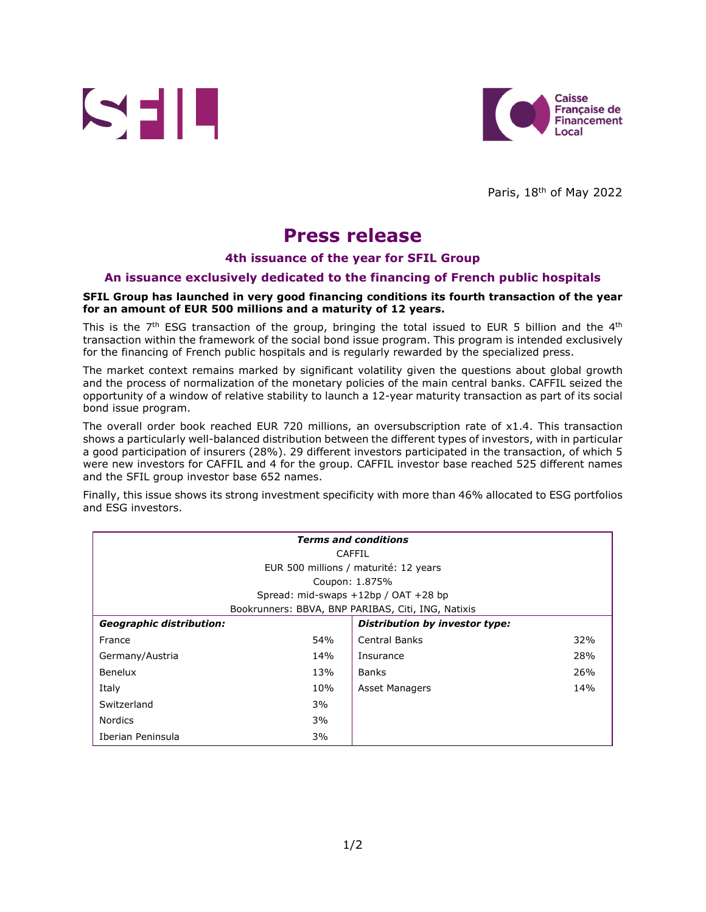



Paris, 18<sup>th</sup> of May 2022

# **Press release**

### **4th issuance of the year for SFIL Group**

### **An issuance exclusively dedicated to the financing of French public hospitals**

#### **SFIL Group has launched in very good financing conditions its fourth transaction of the year for an amount of EUR 500 millions and a maturity of 12 years.**

This is the  $7<sup>th</sup>$  ESG transaction of the group, bringing the total issued to EUR 5 billion and the  $4<sup>th</sup>$ transaction within the framework of the social bond issue program. This program is intended exclusively for the financing of French public hospitals and is regularly rewarded by the specialized press.

The market context remains marked by significant volatility given the questions about global growth and the process of normalization of the monetary policies of the main central banks. CAFFIL seized the opportunity of a window of relative stability to launch a 12-year maturity transaction as part of its social bond issue program.

The overall order book reached EUR 720 millions, an oversubscription rate of x1.4. This transaction shows a particularly well-balanced distribution between the different types of investors, with in particular a good participation of insurers (28%). 29 different investors participated in the transaction, of which 5 were new investors for CAFFIL and 4 for the group. CAFFIL investor base reached 525 different names and the SFIL group investor base 652 names.

Finally, this issue shows its strong investment specificity with more than 46% allocated to ESG portfolios and ESG investors.

| <b>Terms and conditions</b>                        |     |                                |     |  |
|----------------------------------------------------|-----|--------------------------------|-----|--|
| CAFFIL                                             |     |                                |     |  |
| EUR 500 millions / maturité: 12 years              |     |                                |     |  |
| Coupon: 1.875%                                     |     |                                |     |  |
| Spread: mid-swaps $+12bp / OAT +28 bp$             |     |                                |     |  |
| Bookrunners: BBVA, BNP PARIBAS, Citi, ING, Natixis |     |                                |     |  |
| <b>Geographic distribution:</b>                    |     | Distribution by investor type: |     |  |
| France                                             | 54% | <b>Central Banks</b>           | 32% |  |
| Germany/Austria                                    | 14% | Insurance                      | 28% |  |
| Benelux                                            | 13% | <b>Banks</b>                   | 26% |  |
| Italy                                              | 10% | <b>Asset Managers</b>          | 14% |  |
| Switzerland                                        | 3%  |                                |     |  |
| <b>Nordics</b>                                     | 3%  |                                |     |  |
| Iberian Peninsula                                  | 3%  |                                |     |  |